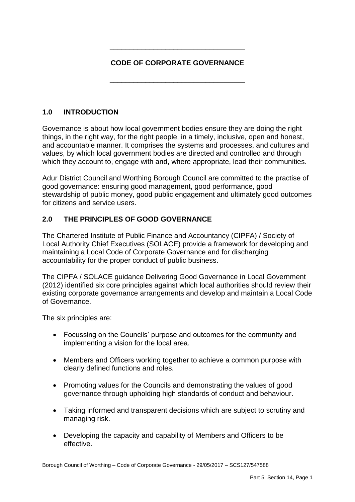# **CODE OF CORPORATE GOVERNANCE**

**\_\_\_\_\_\_\_\_\_\_\_\_\_\_\_\_\_\_\_\_\_\_\_\_\_\_\_\_\_\_\_\_\_\_** 

**\_\_\_\_\_\_\_\_\_\_\_\_\_\_\_\_\_\_\_\_\_\_\_\_\_\_\_\_\_\_\_\_\_\_** 

# **1.0 INTRODUCTION**

Governance is about how local government bodies ensure they are doing the right things, in the right way, for the right people, in a timely, inclusive, open and honest, and accountable manner. It comprises the systems and processes, and cultures and values, by which local government bodies are directed and controlled and through which they account to, engage with and, where appropriate, lead their communities.

Adur District Council and Worthing Borough Council are committed to the practise of good governance: ensuring good management, good performance, good stewardship of public money, good public engagement and ultimately good outcomes for citizens and service users.

## **2.0 THE PRINCIPLES OF GOOD GOVERNANCE**

 The Chartered Institute of Public Finance and Accountancy (CIPFA) / Society of Local Authority Chief Executives (SOLACE) provide a framework for developing and maintaining a Local Code of Corporate Governance and for discharging accountability for the proper conduct of public business.

 (2012) identified six core principles against which local authorities should review their existing corporate governance arrangements and develop and maintain a Local Code The CIPFA / SOLACE guidance Delivering Good Governance in Local Government of Governance.

The six principles are:

- Focussing on the Councils' purpose and outcomes for the community and implementing a vision for the local area.
- Members and Officers working together to achieve a common purpose with clearly defined functions and roles.
- governance through upholding high standards of conduct and behaviour. • Promoting values for the Councils and demonstrating the values of good
- Taking informed and transparent decisions which are subject to scrutiny and managing risk.
- Developing the capacity and capability of Members and Officers to be effective.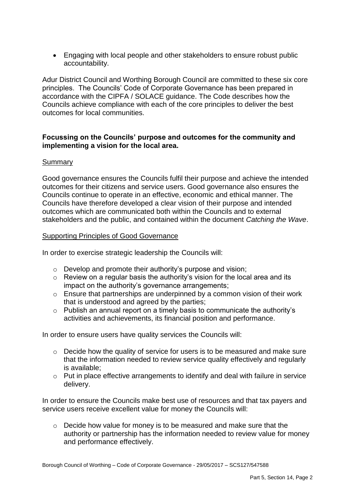Engaging with local people and other stakeholders to ensure robust public accountability.

 principles. The Councils' Code of Corporate Governance has been prepared in Adur District Council and Worthing Borough Council are committed to these six core accordance with the CIPFA / SOLACE guidance. The Code describes how the Councils achieve compliance with each of the core principles to deliver the best outcomes for local communities.

### **Focussing on the Councils' purpose and outcomes for the community and implementing a vision for the local area.**

## Summary

 Good governance ensures the Councils fulfil their purpose and achieve the intended outcomes for their citizens and service users. Good governance also ensures the Councils continue to operate in an effective, economic and ethical manner. The Councils have therefore developed a clear vision of their purpose and intended outcomes which are communicated both within the Councils and to external stakeholders and the public, and contained within the document *Catching the Wave*.

### Supporting Principles of Good Governance

In order to exercise strategic leadership the Councils will:

- o Develop and promote their authority's purpose and vision;
- o Review on a regular basis the authority's vision for the local area and its impact on the authority's governance arrangements;
- that is understood and agreed by the parties;  $\circ$  Ensure that partnerships are underpinned by a common vision of their work
- $\circ$  Publish an annual report on a timely basis to communicate the authority's activities and achievements, its financial position and performance.

In order to ensure users have quality services the Councils will:

- $\circ$  Decide how the quality of service for users is to be measured and make sure that the information needed to review service quality effectively and regularly is available;
- $\circ$  Put in place effective arrangements to identify and deal with failure in service delivery.

 In order to ensure the Councils make best use of resources and that tax payers and service users receive excellent value for money the Councils will:

o Decide how value for money is to be measured and make sure that the authority or partnership has the information needed to review value for money and performance effectively.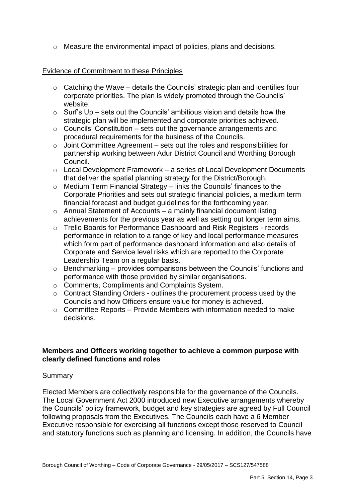o Measure the environmental impact of policies, plans and decisions.

### Evidence of Commitment to these Principles

- $\circ$  Catching the Wave details the Councils' strategic plan and identifies four corporate priorities. The plan is widely promoted through the Councils' website.
- $\circ$  Surf's Up sets out the Councils' ambitious vision and details how the strategic plan will be implemented and corporate priorities achieved.
- $\circ$  Councils' Constitution sets out the governance arrangements and procedural requirements for the business of the Councils.
- $\circ$  Joint Committee Agreement sets out the roles and responsibilities for partnership working between Adur District Council and Worthing Borough Council.
- $\circ$  Local Development Framework a series of Local Development Documents that deliver the spatial planning strategy for the District/Borough.
- o Medium Term Financial Strategy links the Councils' finances to the Corporate Priorities and sets out strategic financial policies, a medium term financial forecast and budget guidelines for the forthcoming year.
- $\circ$  Annual Statement of Accounts a mainly financial document listing achievements for the previous year as well as setting out longer term aims.
- which form part of performance dashboard information and also details of o Trello Boards for Performance Dashboard and Risk Registers - records performance in relation to a range of key and local performance measures Corporate and Service level risks which are reported to the Corporate Leadership Team on a regular basis.
- $\circ$  Benchmarking provides comparisons between the Councils' functions and performance with those provided by similar organisations.
- o Comments, Compliments and Complaints System.
- o Contract Standing Orders outlines the procurement process used by the Councils and how Officers ensure value for money is achieved.
- $\circ$  Committee Reports Provide Members with information needed to make decisions.

### **Members and Officers working together to achieve a common purpose with clearly defined functions and roles**

#### **Summary**

 Elected Members are collectively responsible for the governance of the Councils. following proposals from the Executives. The Councils each have a 6 Member The Local Government Act 2000 introduced new Executive arrangements whereby the Councils' policy framework, budget and key strategies are agreed by Full Council Executive responsible for exercising all functions except those reserved to Council and statutory functions such as planning and licensing. In addition, the Councils have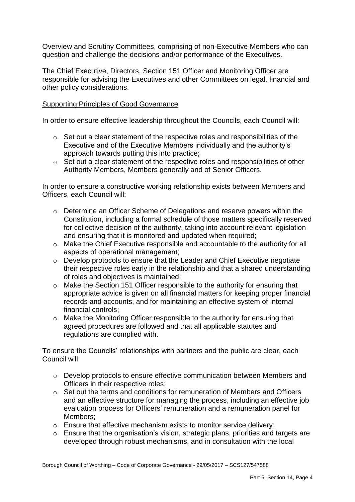Overview and Scrutiny Committees, comprising of non-Executive Members who can question and challenge the decisions and/or performance of the Executives.

 responsible for advising the Executives and other Committees on legal, financial and The Chief Executive, Directors, Section 151 Officer and Monitoring Officer are other policy considerations.

### Supporting Principles of Good Governance

In order to ensure effective leadership throughout the Councils, each Council will:

- o Set out a clear statement of the respective roles and responsibilities of the Executive and of the Executive Members individually and the authority's approach towards putting this into practice;
- Authority Members, Members generally and of Senior Officers. o Set out a clear statement of the respective roles and responsibilities of other

 Officers, each Council will: In order to ensure a constructive working relationship exists between Members and

- o Determine an Officer Scheme of Delegations and reserve powers within the Constitution, including a formal schedule of those matters specifically reserved for collective decision of the authority, taking into account relevant legislation and ensuring that it is monitored and updated when required;
- o Make the Chief Executive responsible and accountable to the authority for all aspects of operational management;
- o Develop protocols to ensure that the Leader and Chief Executive negotiate their respective roles early in the relationship and that a shared understanding of roles and objectives is maintained;
- o Make the Section 151 Officer responsible to the authority for ensuring that records and accounts, and for maintaining an effective system of internal appropriate advice is given on all financial matters for keeping proper financial financial controls;
- o Make the Monitoring Officer responsible to the authority for ensuring that agreed procedures are followed and that all applicable statutes and regulations are complied with.

 To ensure the Councils' relationships with partners and the public are clear, each Council will:

- o Develop protocols to ensure effective communication between Members and Officers in their respective roles;
- o Set out the terms and conditions for remuneration of Members and Officers and an effective structure for managing the process, including an effective job evaluation process for Officers' remuneration and a remuneration panel for Members;
- o Ensure that effective mechanism exists to monitor service delivery;
- o Ensure that the organisation's vision, strategic plans, priorities and targets are developed through robust mechanisms, and in consultation with the local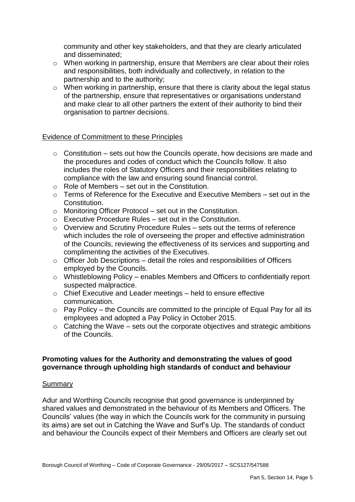community and other key stakeholders, and that they are clearly articulated and disseminated;

- and responsibilities, both individually and collectively, in relation to the partnership and to the authority; o When working in partnership, ensure that Members are clear about their roles
- organisation to partner decisions. o When working in partnership, ensure that there is clarity about the legal status of the partnership, ensure that representatives or organisations understand and make clear to all other partners the extent of their authority to bind their

#### Evidence of Commitment to these Principles

- $\circ$  Constitution sets out how the Councils operate, how decisions are made and the procedures and codes of conduct which the Councils follow. It also includes the roles of Statutory Officers and their responsibilities relating to compliance with the law and ensuring sound financial control.
- $\circ$  Role of Members set out in the Constitution.
- $\circ$  Terms of Reference for the Executive and Executive Members set out in the Constitution.
- $\circ$  Monitoring Officer Protocol set out in the Constitution.
- $\circ$  Executive Procedure Rules set out in the Constitution.
- $\circ$  Overview and Scrutiny Procedure Rules sets out the terms of reference which includes the role of overseeing the proper and effective administration of the Councils, reviewing the effectiveness of its services and supporting and complimenting the activities of the Executives.
- $\circ$  Officer Job Descriptions detail the roles and responsibilities of Officers employed by the Councils.
- $\circ$  Whistleblowing Policy enables Members and Officers to confidentially report suspected malpractice.
- $\circ$  Chief Executive and Leader meetings held to ensure effective communication.
- $\circ$  Pay Policy the Councils are committed to the principle of Equal Pay for all its employees and adopted a Pay Policy in October 2015.
- $\circ$  Catching the Wave sets out the corporate objectives and strategic ambitions of the Councils.

#### **Promoting values for the Authority and demonstrating the values of good governance through upholding high standards of conduct and behaviour**

#### Summary

 shared values and demonstrated in the behaviour of its Members and Officers. The Councils' values (the way in which the Councils work for the community in pursuing its aims) are set out in Catching the Wave and Surf's Up. The standards of conduct Adur and Worthing Councils recognise that good governance is underpinned by and behaviour the Councils expect of their Members and Officers are clearly set out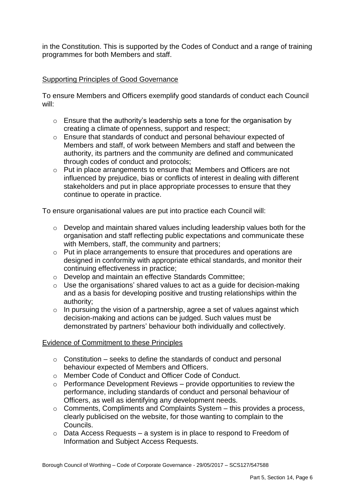in the Constitution. This is supported by the Codes of Conduct and a range of training programmes for both Members and staff.

## Supporting Principles of Good Governance

To ensure Members and Officers exemplify good standards of conduct each Council will:

- $\circ$  Ensure that the authority's leadership sets a tone for the organisation by creating a climate of openness, support and respect;
- o Ensure that standards of conduct and personal behaviour expected of through codes of conduct and protocols; Members and staff, of work between Members and staff and between the authority, its partners and the community are defined and communicated
- influenced by prejudice, bias or conflicts of interest in dealing with different o Put in place arrangements to ensure that Members and Officers are not stakeholders and put in place appropriate processes to ensure that they continue to operate in practice.

To ensure organisational values are put into practice each Council will:

- o Develop and maintain shared values including leadership values both for the organisation and staff reflecting public expectations and communicate these with Members, staff, the community and partners;
- o Put in place arrangements to ensure that procedures and operations are designed in conformity with appropriate ethical standards, and monitor their continuing effectiveness in practice;
- o Develop and maintain an effective Standards Committee;
- $\circ$  Use the organisations' shared values to act as a quide for decision-making and as a basis for developing positive and trusting relationships within the authority;
- $\circ$  In pursuing the vision of a partnership, agree a set of values against which decision-making and actions can be judged. Such values must be demonstrated by partners' behaviour both individually and collectively.

### Evidence of Commitment to these Principles

- $\circ$  Constitution seeks to define the standards of conduct and personal behaviour expected of Members and Officers.
- o Member Code of Conduct and Officer Code of Conduct.
- $\circ$  Performance Development Reviews provide opportunities to review the performance, including standards of conduct and personal behaviour of Officers, as well as identifying any development needs.
- $\circ$  Comments, Compliments and Complaints System this provides a process, clearly publicised on the website, for those wanting to complain to the Councils.
- $\circ$  Data Access Requests a system is in place to respond to Freedom of Information and Subject Access Requests.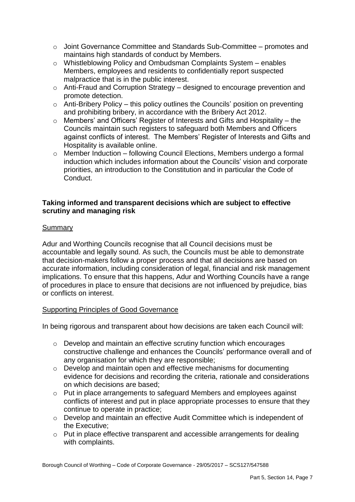- $\circ$  Joint Governance Committee and Standards Sub-Committee promotes and maintains high standards of conduct by Members.
- o Whistleblowing Policy and Ombudsman Complaints System enables Members, employees and residents to confidentially report suspected malpractice that is in the public interest.
- o Anti-Fraud and Corruption Strategy designed to encourage prevention and promote detection.
- $\circ$  Anti-Bribery Policy this policy outlines the Councils' position on preventing and prohibiting bribery, in accordance with the Bribery Act 2012.
- o Members' and Officers' Register of Interests and Gifts and Hospitality the Councils maintain such registers to safeguard both Members and Officers against conflicts of interest. The Members' Register of Interests and Gifts and Hospitality is available online.
- o Member Induction following Council Elections, Members undergo a formal induction which includes information about the Councils' vision and corporate priorities, an introduction to the Constitution and in particular the Code of Conduct.

## **Taking informed and transparent decisions which are subject to effective scrutiny and managing risk**

## **Summary**

 accountable and legally sound. As such, the Councils must be able to demonstrate that decision-makers follow a proper process and that all decisions are based on implications. To ensure that this happens, Adur and Worthing Councils have a range Adur and Worthing Councils recognise that all Council decisions must be accurate information, including consideration of legal, financial and risk management of procedures in place to ensure that decisions are not influenced by prejudice, bias or conflicts on interest.

### Supporting Principles of Good Governance

In being rigorous and transparent about how decisions are taken each Council will:

- o Develop and maintain an effective scrutiny function which encourages constructive challenge and enhances the Councils' performance overall and of any organisation for which they are responsible;
- $\circ$  Develop and maintain open and effective mechanisms for documenting evidence for decisions and recording the criteria, rationale and considerations on which decisions are based;
- $\circ$  Put in place arrangements to safeguard Members and employees against conflicts of interest and put in place appropriate processes to ensure that they continue to operate in practice;
- o Develop and maintain an effective Audit Committee which is independent of the Executive;
- $\circ$  Put in place effective transparent and accessible arrangements for dealing with complaints.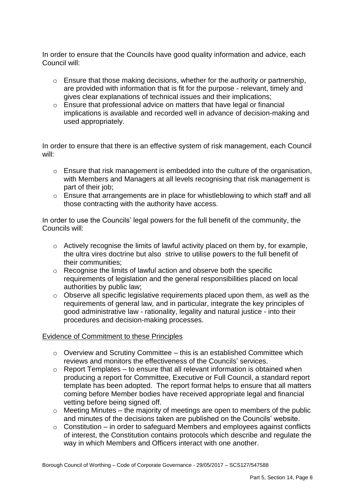In order to ensure that the Councils have good quality information and advice, each Council will:

- $\circ$  Ensure that those making decisions, whether for the authority or partnership, are provided with information that is fit for the purpose - relevant, timely and gives clear explanations of technical issues and their implications;
- o Ensure that professional advice on matters that have legal or financial implications is available and recorded well in advance of decision-making and used appropriately.

In order to ensure that there is an effective system of risk management, each Council will:

- $\circ$  Ensure that risk management is embedded into the culture of the organisation, with Members and Managers at all levels recognising that risk management is part of their job;
- $\circ$  Ensure that arrangements are in place for whistleblowing to which staff and all those contracting with the authority have access.

In order to use the Councils' legal powers for the full benefit of the community, the Councils will:

- $\circ$  Actively recognise the limits of lawful activity placed on them by, for example, the ultra vires doctrine but also strive to utilise powers to the full benefit of their communities;
- $\circ$  Recognise the limits of lawful action and observe both the specific requirements of legislation and the general responsibilities placed on local authorities by public law;
- $\circ$  Observe all specific legislative requirements placed upon them, as well as the requirements of general law, and in particular, integrate the key principles of good administrative law - rationality, legality and natural justice - into their procedures and decision-making processes.

### Evidence of Commitment to these Principles

- $\circ$  Overview and Scrutiny Committee this is an established Committee which reviews and monitors the effectiveness of the Councils' services.
- $\circ$  Report Templates to ensure that all relevant information is obtained when producing a report for Committee, Executive or Full Council, a standard report template has been adopted. The report format helps to ensure that all matters coming before Member bodies have received appropriate legal and financial vetting before being signed off.
- $\circ$  Meeting Minutes the majority of meetings are open to members of the public and minutes of the decisions taken are published on the Councils' website.
- $\circ$  Constitution in order to safeguard Members and employees against conflicts of interest, the Constitution contains protocols which describe and regulate the way in which Members and Officers interact with one another.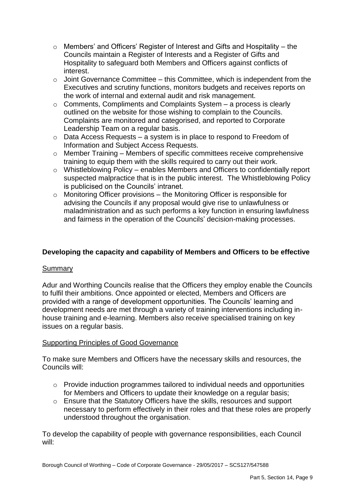- o Members' and Officers' Register of Interest and Gifts and Hospitality the Councils maintain a Register of Interests and a Register of Gifts and Hospitality to safeguard both Members and Officers against conflicts of interest.
- $\circ$  Joint Governance Committee this Committee, which is independent from the Executives and scrutiny functions, monitors budgets and receives reports on the work of internal and external audit and risk management.
- $\circ$  Comments, Compliments and Complaints System  $-$  a process is clearly outlined on the website for those wishing to complain to the Councils. Complaints are monitored and categorised, and reported to Corporate Leadership Team on a regular basis.
- $\circ$  Data Access Requests a system is in place to respond to Freedom of Information and Subject Access Requests.
- $\circ$  Member Training Members of specific committees receive comprehensive training to equip them with the skills required to carry out their work.
- o Whistleblowing Policy enables Members and Officers to confidentially report is publicised on the Councils' intranet. suspected malpractice that is in the public interest. The Whistleblowing Policy
- o Monitoring Officer provisions the Monitoring Officer is responsible for advising the Councils if any proposal would give rise to unlawfulness or maladministration and as such performs a key function in ensuring lawfulness and fairness in the operation of the Councils' decision-making processes.

## **Developing the capacity and capability of Members and Officers to be effective**

### Summary

Adur and Worthing Councils realise that the Officers they employ enable the Councils to fulfil their ambitions. Once appointed or elected, Members and Officers are provided with a range of development opportunities. The Councils' learning and development needs are met through a variety of training interventions including inhouse training and e-learning. Members also receive specialised training on key issues on a regular basis.

### Supporting Principles of Good Governance

To make sure Members and Officers have the necessary skills and resources, the Councils will:

- $\circ$  Provide induction programmes tailored to individual needs and opportunities for Members and Officers to update their knowledge on a regular basis;
- o Ensure that the Statutory Officers have the skills, resources and support necessary to perform effectively in their roles and that these roles are properly understood throughout the organisation.

To develop the capability of people with governance responsibilities, each Council will: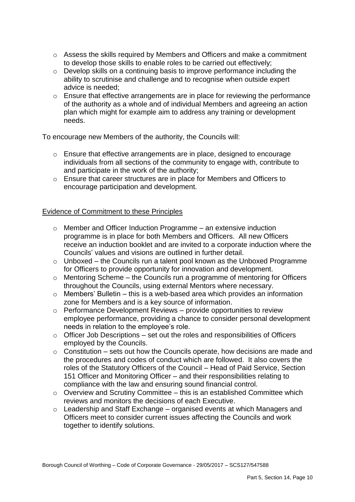- $\circ$  Assess the skills required by Members and Officers and make a commitment to develop those skills to enable roles to be carried out effectively;
- ability to scrutinise and challenge and to recognise when outside expert advice is needed; o Develop skills on a continuing basis to improve performance including the
- of the authority as a whole and of individual Members and agreeing an action o Ensure that effective arrangements are in place for reviewing the performance plan which might for example aim to address any training or development needs.

To encourage new Members of the authority, the Councils will:

- o Ensure that effective arrangements are in place, designed to encourage individuals from all sections of the community to engage with, contribute to and participate in the work of the authority;
- o Ensure that career structures are in place for Members and Officers to encourage participation and development.

### Evidence of Commitment to these Principles

- $\circ$  Member and Officer Induction Programme an extensive induction programme is in place for both Members and Officers. All new Officers receive an induction booklet and are invited to a corporate induction where the Councils' values and visions are outlined in further detail.
- $\circ$  Unboxed the Councils run a talent pool known as the Unboxed Programme for Officers to provide opportunity for innovation and development.
- $\circ$  Mentoring Scheme the Councils run a programme of mentoring for Officers throughout the Councils, using external Mentors where necessary.
- $\circ$  Members' Bulletin this is a web-based area which provides an information zone for Members and is a key source of information.
- $\circ$  Performance Development Reviews provide opportunities to review employee performance, providing a chance to consider personal development needs in relation to the employee's role.
- $\circ$  Officer Job Descriptions set out the roles and responsibilities of Officers employed by the Councils.
- $\circ$  Constitution sets out how the Councils operate, how decisions are made and roles of the Statutory Officers of the Council – Head of Paid Service, Section the procedures and codes of conduct which are followed. It also covers the 151 Officer and Monitoring Officer – and their responsibilities relating to compliance with the law and ensuring sound financial control.
- $\circ$  Overview and Scrutiny Committee this is an established Committee which reviews and monitors the decisions of each Executive.
- o Leadership and Staff Exchange organised events at which Managers and Officers meet to consider current issues affecting the Councils and work together to identify solutions.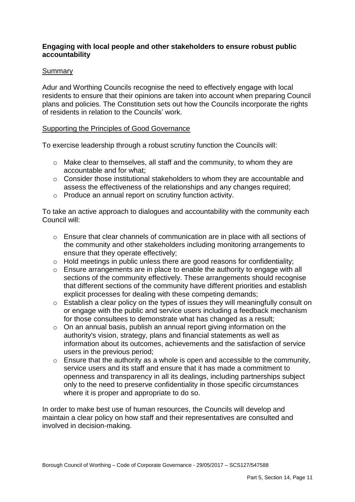### **Engaging with local people and other stakeholders to ensure robust public accountability**

### Summary

 plans and policies. The Constitution sets out how the Councils incorporate the rights Adur and Worthing Councils recognise the need to effectively engage with local residents to ensure that their opinions are taken into account when preparing Council of residents in relation to the Councils' work.

#### Supporting the Principles of Good Governance

To exercise leadership through a robust scrutiny function the Councils will:

- $\circ$  Make clear to themselves, all staff and the community, to whom they are accountable and for what;
- $\circ$  Consider those institutional stakeholders to whom they are accountable and assess the effectiveness of the relationships and any changes required;
- o Produce an annual report on scrutiny function activity.

 To take an active approach to dialogues and accountability with the community each Council will:

- o Ensure that clear channels of communication are in place with all sections of the community and other stakeholders including monitoring arrangements to ensure that they operate effectively;
- $\circ$  Hold meetings in public unless there are good reasons for confidentiality;
- o Ensure arrangements are in place to enable the authority to engage with all that different sections of the community have different priorities and establish sections of the community effectively. These arrangements should recognise explicit processes for dealing with these competing demands;
- $\circ$  Establish a clear policy on the types of issues they will meaningfully consult on or engage with the public and service users including a feedback mechanism for those consultees to demonstrate what has changed as a result;
- o On an annual basis, publish an annual report giving information on the authority's vision, strategy, plans and financial statements as well as information about its outcomes, achievements and the satisfaction of service users in the previous period;
- service users and its staff and ensure that it has made a commitment to openness and transparency in all its dealings, including partnerships subject only to the need to preserve confidentiality in those specific circumstances where it is proper and appropriate to do so. o Ensure that the authority as a whole is open and accessible to the community,

 In order to make best use of human resources, the Councils will develop and maintain a clear policy on how staff and their representatives are consulted and involved in decision-making.